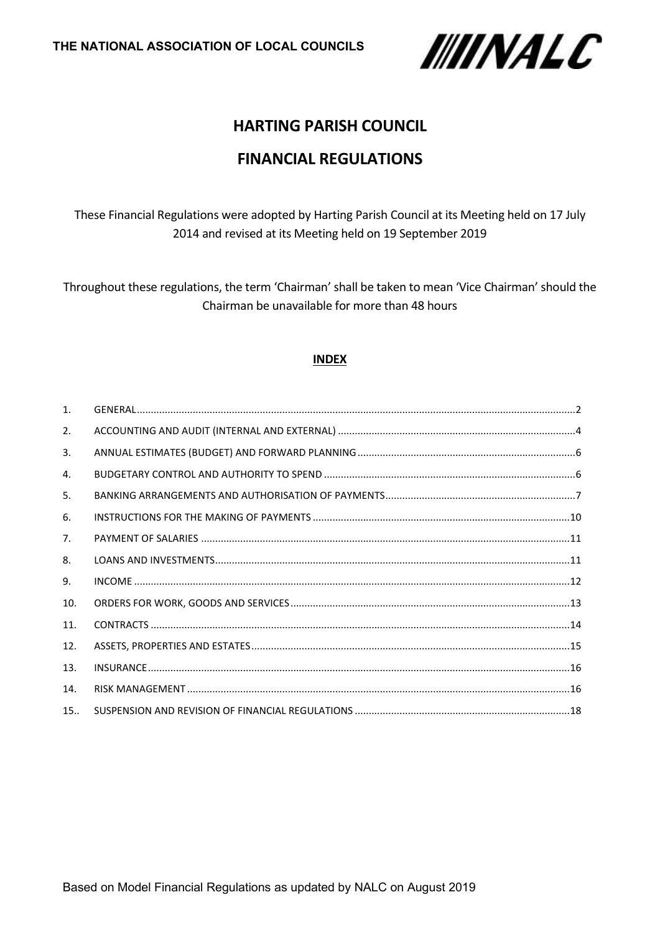

# **HARTING PARISH COUNCIL**

# **FINANCIAL REGULATIONS**

These Financial Regulations were adopted by Harting Parish Council at its Meeting held on 17 July 2014 and revised at its Meeting held on 19 September 2019

Throughout these regulations, the term 'Chairman' shall be taken to mean 'Vice Chairman' should the Chairman be unavailable for more than 48 hours

#### **INDEX**

| 1 <sub>1</sub> |  |
|----------------|--|
| 2.             |  |
| 3.             |  |
| 4.             |  |
| 5.             |  |
| 6.             |  |
| 7 <sub>1</sub> |  |
| 8.             |  |
| 9.             |  |
| 10.            |  |
| 11.            |  |
| 12.            |  |
| 13.            |  |
| 14.            |  |
| 15.            |  |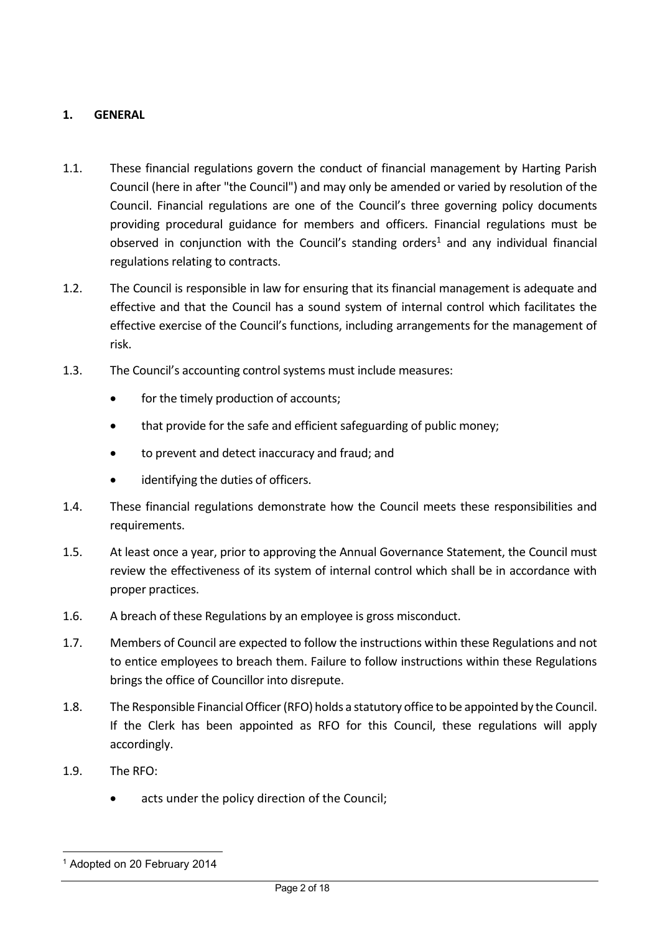## <span id="page-1-0"></span>**1. GENERAL**

- 1.1. These financial regulations govern the conduct of financial management by Harting Parish Council (here in after "the Council") and may only be amended or varied by resolution of the Council. Financial regulations are one of the Council's three governing policy documents providing procedural guidance for members and officers. Financial regulations must be observed in conjunction with the Council's standing orders<sup>1</sup> and any individual financial regulations relating to contracts.
- 1.2. The Council is responsible in law for ensuring that its financial management is adequate and effective and that the Council has a sound system of internal control which facilitates the effective exercise of the Council's functions, including arrangements for the management of risk.
- 1.3. The Council's accounting control systems must include measures:
	- for the timely production of accounts:
	- that provide for the safe and efficient safeguarding of public money;
	- to prevent and detect inaccuracy and fraud; and
	- identifying the duties of officers.
- 1.4. These financial regulations demonstrate how the Council meets these responsibilities and requirements.
- 1.5. At least once a year, prior to approving the Annual Governance Statement, the Council must review the effectiveness of its system of internal control which shall be in accordance with proper practices.
- 1.6. A breach of these Regulations by an employee is gross misconduct.
- 1.7. Members of Council are expected to follow the instructions within these Regulations and not to entice employees to breach them. Failure to follow instructions within these Regulations brings the office of Councillor into disrepute.
- 1.8. The Responsible Financial Officer (RFO) holds a statutory office to be appointed by the Council. If the Clerk has been appointed as RFO for this Council, these regulations will apply accordingly.
- 1.9. The RFO:
	- acts under the policy direction of the Council;

<sup>1</sup> Adopted on 20 February 2014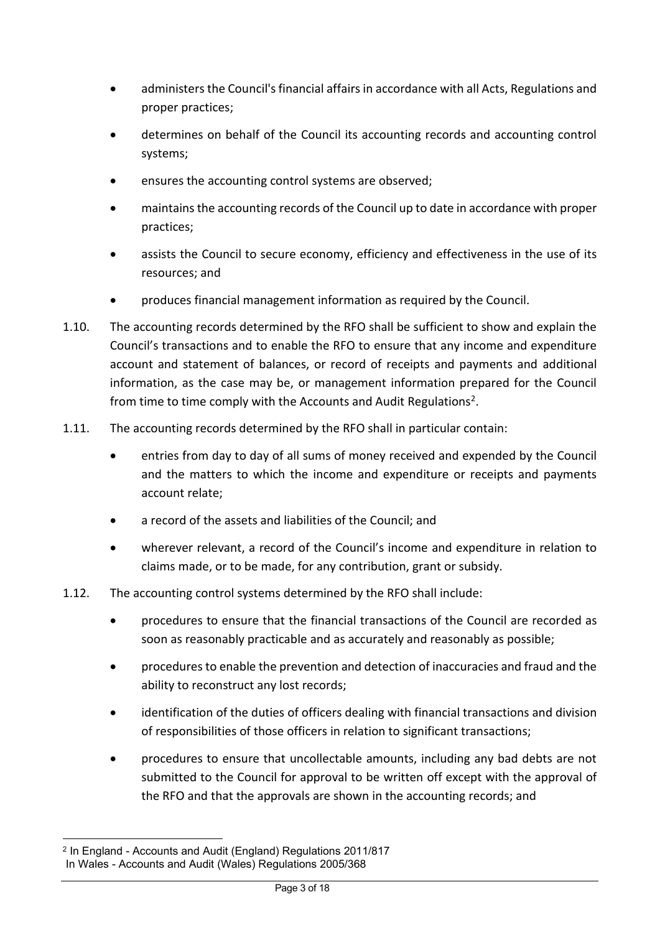- administers the Council's financial affairs in accordance with all Acts, Regulations and proper practices;
- determines on behalf of the Council its accounting records and accounting control systems;
- ensures the accounting control systems are observed;
- maintains the accounting records of the Council up to date in accordance with proper practices;
- assists the Council to secure economy, efficiency and effectiveness in the use of its resources; and
- produces financial management information as required by the Council.
- 1.10. The accounting records determined by the RFO shall be sufficient to show and explain the Council's transactions and to enable the RFO to ensure that any income and expenditure account and statement of balances, or record of receipts and payments and additional information, as the case may be, or management information prepared for the Council from time to time comply with the Accounts and Audit Regulations<sup>2</sup>.
- 1.11. The accounting records determined by the RFO shall in particular contain:
	- entries from day to day of all sums of money received and expended by the Council and the matters to which the income and expenditure or receipts and payments account relate;
	- a record of the assets and liabilities of the Council; and
	- wherever relevant, a record of the Council's income and expenditure in relation to claims made, or to be made, for any contribution, grant or subsidy.
- 1.12. The accounting control systems determined by the RFO shall include:
	- procedures to ensure that the financial transactions of the Council are recorded as soon as reasonably practicable and as accurately and reasonably as possible;
	- procedures to enable the prevention and detection of inaccuracies and fraud and the ability to reconstruct any lost records;
	- identification of the duties of officers dealing with financial transactions and division of responsibilities of those officers in relation to significant transactions;
	- procedures to ensure that uncollectable amounts, including any bad debts are not submitted to the Council for approval to be written off except with the approval of the RFO and that the approvals are shown in the accounting records; and

<sup>2</sup> In England - Accounts and Audit (England) Regulations 2011/817 In Wales - Accounts and Audit (Wales) Regulations 2005/368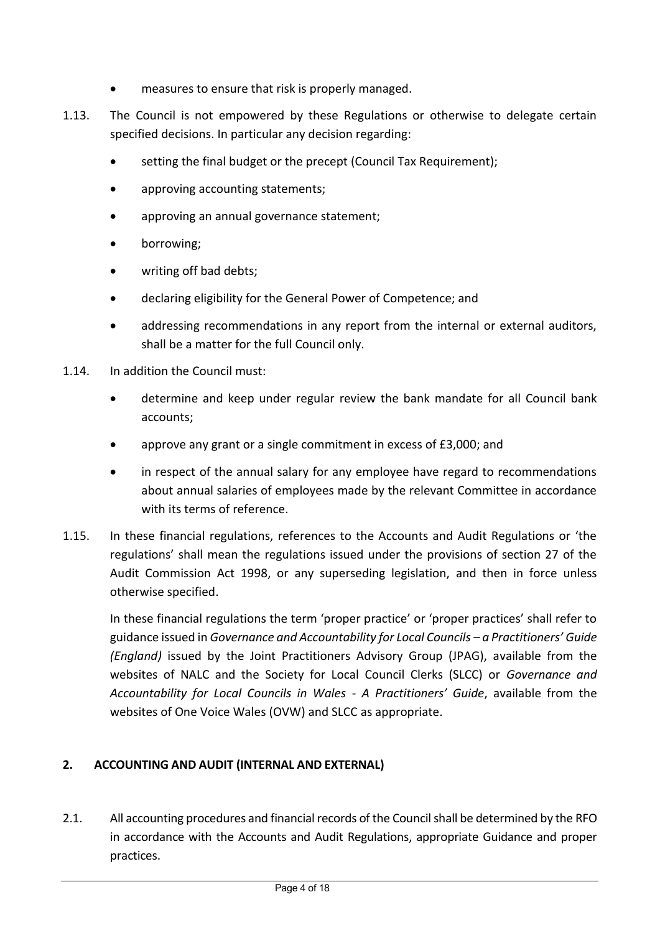- measures to ensure that risk is properly managed.
- 1.13. The Council is not empowered by these Regulations or otherwise to delegate certain specified decisions. In particular any decision regarding:
	- setting the final budget or the precept (Council Tax Requirement);
	- approving accounting statements;
	- approving an annual governance statement;
	- borrowing;
	- writing off bad debts;
	- declaring eligibility for the General Power of Competence; and
	- addressing recommendations in any report from the internal or external auditors, shall be a matter for the full Council only.
- 1.14. In addition the Council must:
	- determine and keep under regular review the bank mandate for all Council bank accounts;
	- approve any grant or a single commitment in excess of £3,000; and
	- in respect of the annual salary for any employee have regard to recommendations about annual salaries of employees made by the relevant Committee in accordance with its terms of reference.
- 1.15. In these financial regulations, references to the Accounts and Audit Regulations or 'the regulations' shall mean the regulations issued under the provisions of section 27 of the Audit Commission Act 1998, or any superseding legislation, and then in force unless otherwise specified.

In these financial regulations the term 'proper practice' or 'proper practices' shall refer to guidance issued in *Governance and Accountability for Local Councils – a Practitioners' Guide (England)* issued by the Joint Practitioners Advisory Group (JPAG), available from the websites of NALC and the Society for Local Council Clerks (SLCC) or *Governance and Accountability for Local Councils in Wales - A Practitioners' Guide*, available from the websites of One Voice Wales (OVW) and SLCC as appropriate.

### <span id="page-3-0"></span>**2. ACCOUNTING AND AUDIT (INTERNAL AND EXTERNAL)**

2.1. All accounting procedures and financial records of the Council shall be determined by the RFO in accordance with the Accounts and Audit Regulations, appropriate Guidance and proper practices.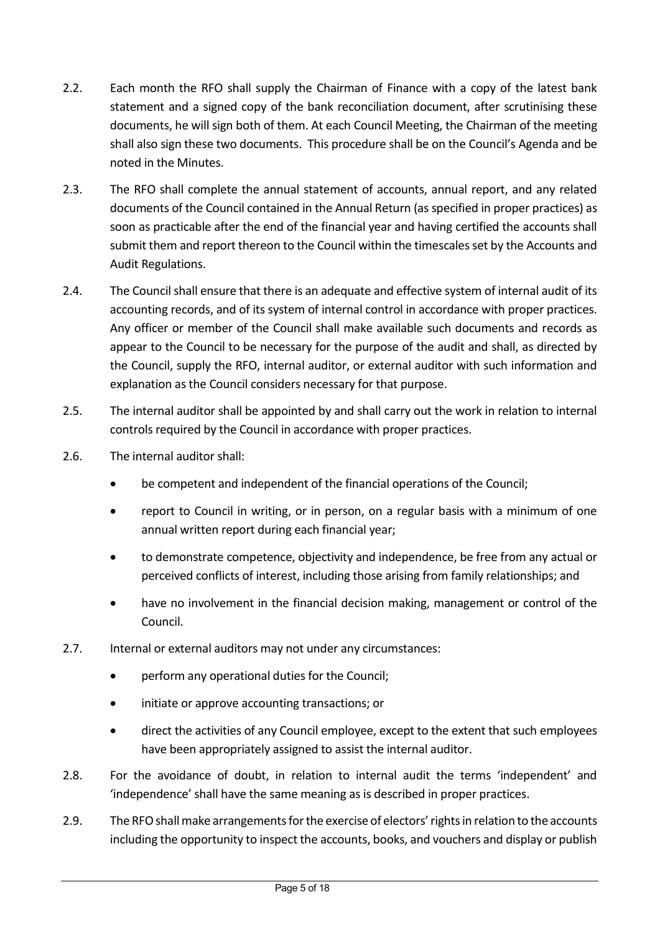- 2.2. Each month the RFO shall supply the Chairman of Finance with a copy of the latest bank statement and a signed copy of the bank reconciliation document, after scrutinising these documents, he will sign both of them. At each Council Meeting, the Chairman of the meeting shall also sign these two documents. This procedure shall be on the Council's Agenda and be noted in the Minutes.
- 2.3. The RFO shall complete the annual statement of accounts, annual report, and any related documents of the Council contained in the Annual Return (as specified in proper practices) as soon as practicable after the end of the financial year and having certified the accounts shall submit them and report thereon to the Council within the timescales set by the Accounts and Audit Regulations.
- 2.4. The Council shall ensure that there is an adequate and effective system of internal audit of its accounting records, and of its system of internal control in accordance with proper practices. Any officer or member of the Council shall make available such documents and records as appear to the Council to be necessary for the purpose of the audit and shall, as directed by the Council, supply the RFO, internal auditor, or external auditor with such information and explanation as the Council considers necessary for that purpose.
- 2.5. The internal auditor shall be appointed by and shall carry out the work in relation to internal controls required by the Council in accordance with proper practices.
- 2.6. The internal auditor shall:
	- be competent and independent of the financial operations of the Council;
	- report to Council in writing, or in person, on a regular basis with a minimum of one annual written report during each financial year;
	- to demonstrate competence, objectivity and independence, be free from any actual or perceived conflicts of interest, including those arising from family relationships; and
	- have no involvement in the financial decision making, management or control of the Council.
- 2.7. Internal or external auditors may not under any circumstances:
	- perform any operational duties for the Council;
	- initiate or approve accounting transactions; or
	- direct the activities of any Council employee, except to the extent that such employees have been appropriately assigned to assist the internal auditor.
- 2.8. For the avoidance of doubt, in relation to internal audit the terms 'independent' and 'independence' shall have the same meaning as is described in proper practices.
- 2.9. The RFO shall make arrangements for the exercise of electors' rights in relation to the accounts including the opportunity to inspect the accounts, books, and vouchers and display or publish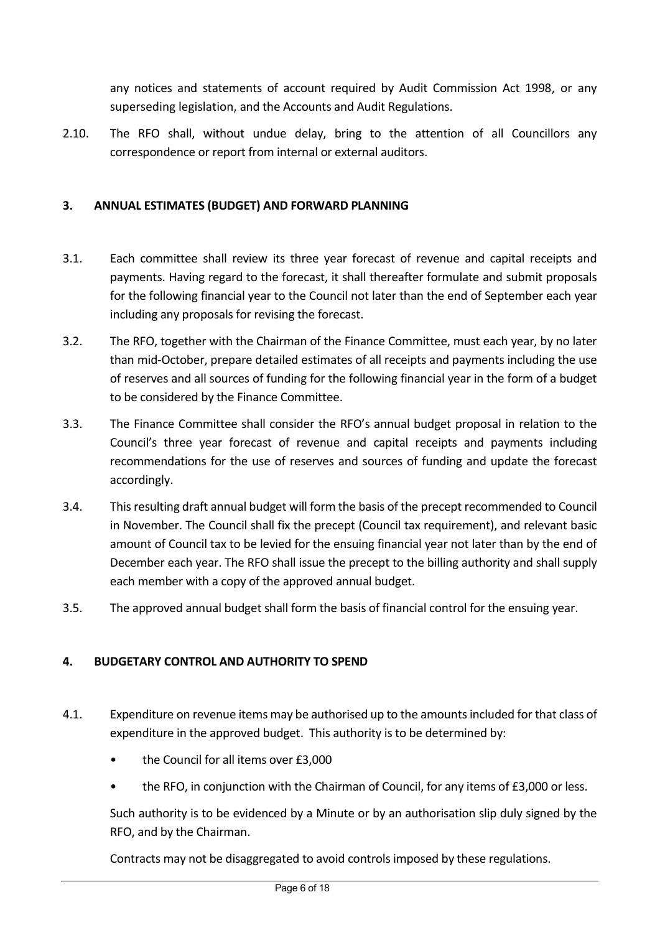any notices and statements of account required by Audit Commission Act 1998, or any superseding legislation, and the Accounts and Audit Regulations.

2.10. The RFO shall, without undue delay, bring to the attention of all Councillors any correspondence or report from internal or external auditors.

## <span id="page-5-0"></span>**3. ANNUAL ESTIMATES (BUDGET) AND FORWARD PLANNING**

- 3.1. Each committee shall review its three year forecast of revenue and capital receipts and payments. Having regard to the forecast, it shall thereafter formulate and submit proposals for the following financial year to the Council not later than the end of September each year including any proposals for revising the forecast.
- 3.2. The RFO, together with the Chairman of the Finance Committee, must each year, by no later than mid-October, prepare detailed estimates of all receipts and payments including the use of reserves and all sources of funding for the following financial year in the form of a budget to be considered by the Finance Committee.
- 3.3. The Finance Committee shall consider the RFO's annual budget proposal in relation to the Council's three year forecast of revenue and capital receipts and payments including recommendations for the use of reserves and sources of funding and update the forecast accordingly.
- 3.4. This resulting draft annual budget will form the basis of the precept recommended to Council in November. The Council shall fix the precept (Council tax requirement), and relevant basic amount of Council tax to be levied for the ensuing financial year not later than by the end of December each year. The RFO shall issue the precept to the billing authority and shall supply each member with a copy of the approved annual budget.
- 3.5. The approved annual budget shall form the basis of financial control for the ensuing year.

### <span id="page-5-1"></span>**4. BUDGETARY CONTROL AND AUTHORITY TO SPEND**

- 4.1. Expenditure on revenue items may be authorised up to the amounts included for that class of expenditure in the approved budget. This authority is to be determined by:
	- the Council for all items over £3,000
	- the RFO, in conjunction with the Chairman of Council, for any items of £3,000 or less.

Such authority is to be evidenced by a Minute or by an authorisation slip duly signed by the RFO, and by the Chairman.

Contracts may not be disaggregated to avoid controls imposed by these regulations.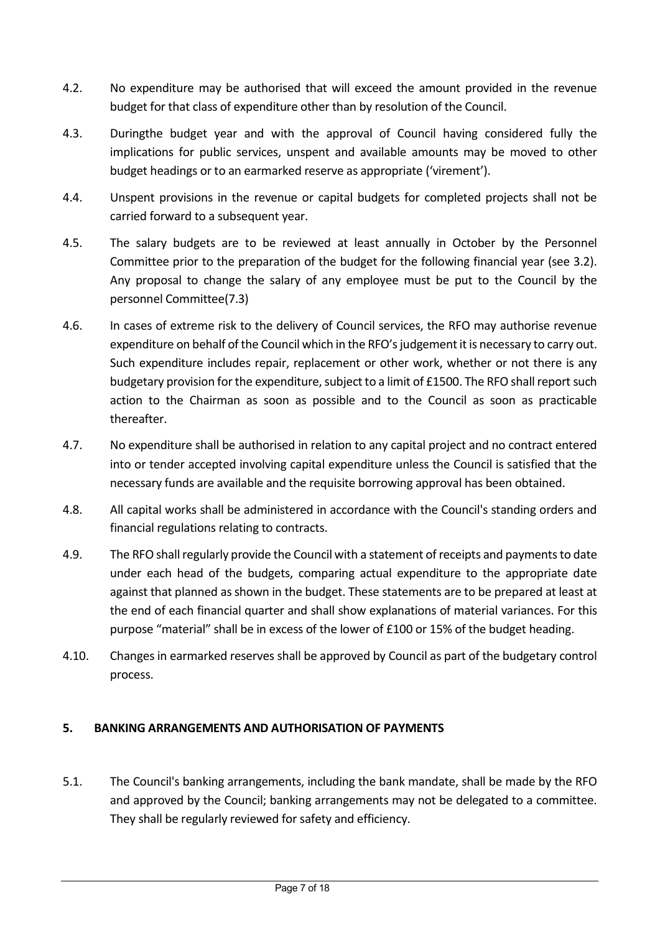- 4.2. No expenditure may be authorised that will exceed the amount provided in the revenue budget for that class of expenditure other than by resolution of the Council.
- 4.3. Duringthe budget year and with the approval of Council having considered fully the implications for public services, unspent and available amounts may be moved to other budget headings or to an earmarked reserve as appropriate ('virement').
- 4.4. Unspent provisions in the revenue or capital budgets for completed projects shall not be carried forward to a subsequent year.
- 4.5. The salary budgets are to be reviewed at least annually in October by the Personnel Committee prior to the preparation of the budget for the following financial year (see 3.2). Any proposal to change the salary of any employee must be put to the Council by the personnel Committee(7.3)
- 4.6. In cases of extreme risk to the delivery of Council services, the RFO may authorise revenue expenditure on behalf of the Council which in the RFO's judgement it is necessary to carry out. Such expenditure includes repair, replacement or other work, whether or not there is any budgetary provision for the expenditure, subject to a limit of £1500. The RFO shall report such action to the Chairman as soon as possible and to the Council as soon as practicable thereafter.
- 4.7. No expenditure shall be authorised in relation to any capital project and no contract entered into or tender accepted involving capital expenditure unless the Council is satisfied that the necessary funds are available and the requisite borrowing approval has been obtained.
- 4.8. All capital works shall be administered in accordance with the Council's standing orders and financial regulations relating to contracts.
- 4.9. The RFO shall regularly provide the Council with a statement of receipts and payments to date under each head of the budgets, comparing actual expenditure to the appropriate date against that planned as shown in the budget. These statements are to be prepared at least at the end of each financial quarter and shall show explanations of material variances. For this purpose "material" shall be in excess of the lower of £100 or 15% of the budget heading.
- 4.10. Changes in earmarked reserves shall be approved by Council as part of the budgetary control process.

### <span id="page-6-0"></span>**5. BANKING ARRANGEMENTS AND AUTHORISATION OF PAYMENTS**

5.1. The Council's banking arrangements, including the bank mandate, shall be made by the RFO and approved by the Council; banking arrangements may not be delegated to a committee. They shall be regularly reviewed for safety and efficiency.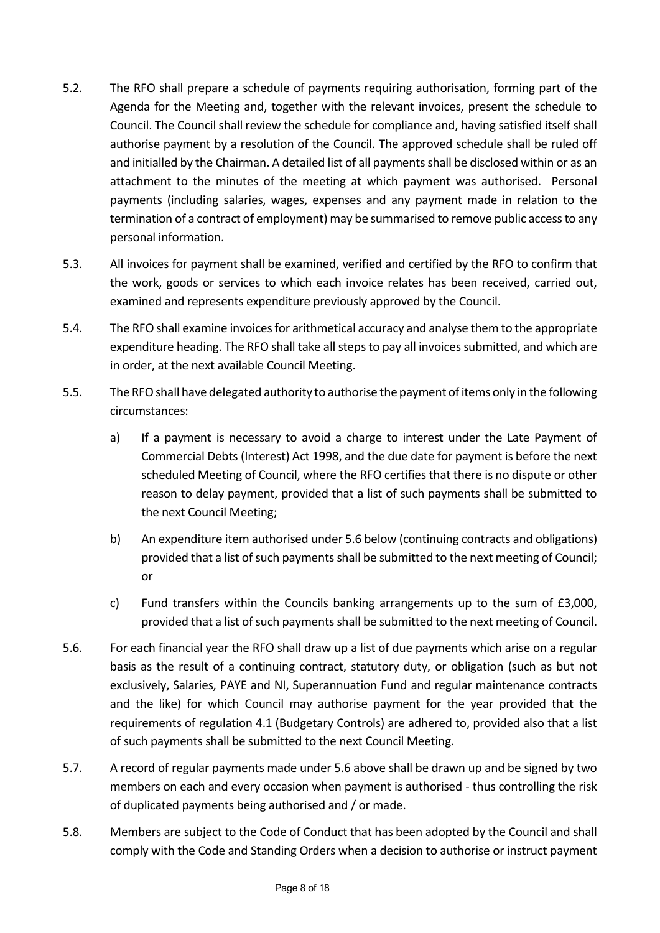- 5.2. The RFO shall prepare a schedule of payments requiring authorisation, forming part of the Agenda for the Meeting and, together with the relevant invoices, present the schedule to Council. The Council shall review the schedule for compliance and, having satisfied itself shall authorise payment by a resolution of the Council. The approved schedule shall be ruled off and initialled by the Chairman. A detailed list of all payments shall be disclosed within or as an attachment to the minutes of the meeting at which payment was authorised. Personal payments (including salaries, wages, expenses and any payment made in relation to the termination of a contract of employment) may be summarised to remove public access to any personal information.
- 5.3. All invoices for payment shall be examined, verified and certified by the RFO to confirm that the work, goods or services to which each invoice relates has been received, carried out, examined and represents expenditure previously approved by the Council.
- 5.4. The RFO shall examine invoices for arithmetical accuracy and analyse them to the appropriate expenditure heading. The RFO shall take all steps to pay all invoices submitted, and which are in order, at the next available Council Meeting.
- 5.5. The RFO shall have delegated authority to authorise the payment of items only in the following circumstances:
	- a) If a payment is necessary to avoid a charge to interest under the Late Payment of Commercial Debts (Interest) Act 1998, and the due date for payment is before the next scheduled Meeting of Council, where the RFO certifies that there is no dispute or other reason to delay payment, provided that a list of such payments shall be submitted to the next Council Meeting;
	- b) An expenditure item authorised under 5.6 below (continuing contracts and obligations) provided that a list of such payments shall be submitted to the next meeting of Council; or
	- c) Fund transfers within the Councils banking arrangements up to the sum of £3,000, provided that a list of such payments shall be submitted to the next meeting of Council.
- 5.6. For each financial year the RFO shall draw up a list of due payments which arise on a regular basis as the result of a continuing contract, statutory duty, or obligation (such as but not exclusively, Salaries, PAYE and NI, Superannuation Fund and regular maintenance contracts and the like) for which Council may authorise payment for the year provided that the requirements of regulation 4.1 (Budgetary Controls) are adhered to, provided also that a list of such payments shall be submitted to the next Council Meeting.
- 5.7. A record of regular payments made under 5.6 above shall be drawn up and be signed by two members on each and every occasion when payment is authorised - thus controlling the risk of duplicated payments being authorised and / or made.
- 5.8. Members are subject to the Code of Conduct that has been adopted by the Council and shall comply with the Code and Standing Orders when a decision to authorise or instruct payment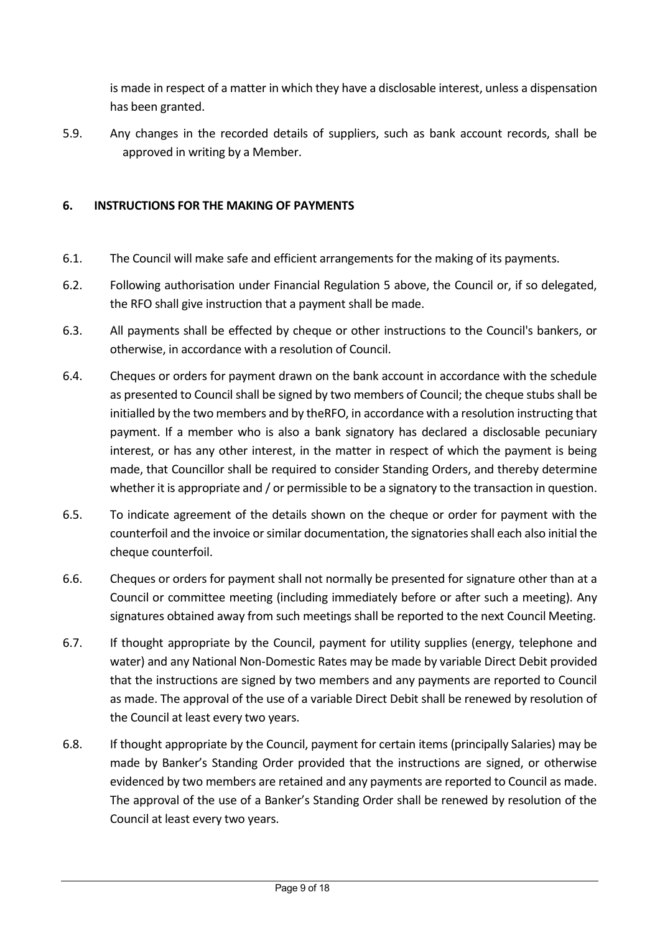is made in respect of a matter in which they have a disclosable interest, unless a dispensation has been granted.

5.9. Any changes in the recorded details of suppliers, such as bank account records, shall be approved in writing by a Member.

## <span id="page-8-0"></span>**6. INSTRUCTIONS FOR THE MAKING OF PAYMENTS**

- 6.1. The Council will make safe and efficient arrangements for the making of its payments.
- 6.2. Following authorisation under Financial Regulation 5 above, the Council or, if so delegated, the RFO shall give instruction that a payment shall be made.
- 6.3. All payments shall be effected by cheque or other instructions to the Council's bankers, or otherwise, in accordance with a resolution of Council.
- 6.4. Cheques or orders for payment drawn on the bank account in accordance with the schedule as presented to Council shall be signed by two members of Council; the cheque stubs shall be initialled by the two members and by theRFO, in accordance with a resolution instructing that payment. If a member who is also a bank signatory has declared a disclosable pecuniary interest, or has any other interest, in the matter in respect of which the payment is being made, that Councillor shall be required to consider Standing Orders, and thereby determine whether it is appropriate and / or permissible to be a signatory to the transaction in question.
- 6.5. To indicate agreement of the details shown on the cheque or order for payment with the counterfoil and the invoice or similar documentation, the signatories shall each also initial the cheque counterfoil.
- 6.6. Cheques or orders for payment shall not normally be presented for signature other than at a Council or committee meeting (including immediately before or after such a meeting). Any signatures obtained away from such meetings shall be reported to the next Council Meeting.
- 6.7. If thought appropriate by the Council, payment for utility supplies (energy, telephone and water) and any National Non-Domestic Rates may be made by variable Direct Debit provided that the instructions are signed by two members and any payments are reported to Council as made. The approval of the use of a variable Direct Debit shall be renewed by resolution of the Council at least every two years.
- 6.8. If thought appropriate by the Council, payment for certain items (principally Salaries) may be made by Banker's Standing Order provided that the instructions are signed, or otherwise evidenced by two members are retained and any payments are reported to Council as made. The approval of the use of a Banker's Standing Order shall be renewed by resolution of the Council at least every two years.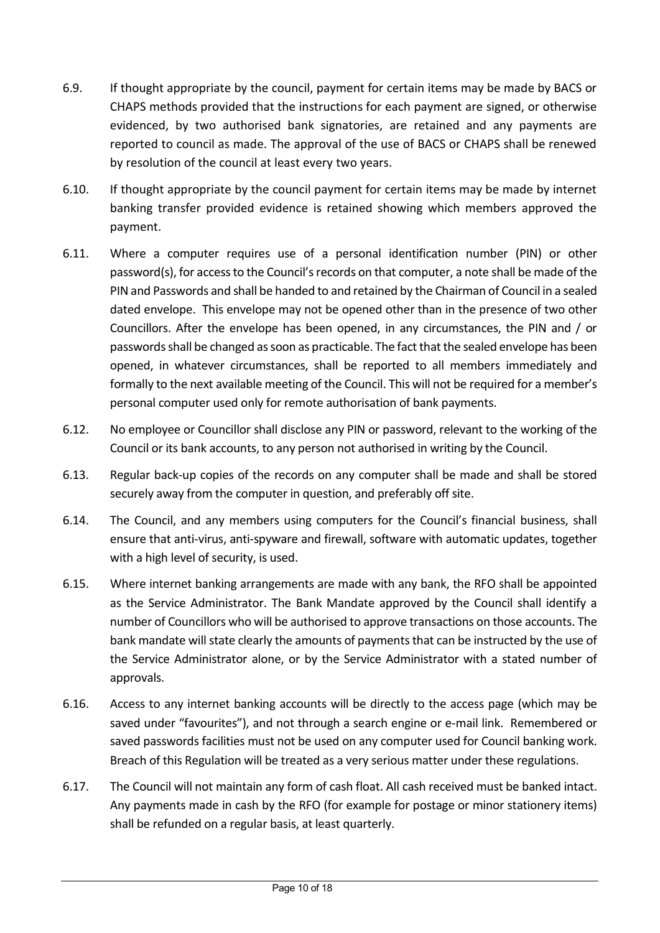- 6.9. If thought appropriate by the council, payment for certain items may be made by BACS or CHAPS methods provided that the instructions for each payment are signed, or otherwise evidenced, by two authorised bank signatories, are retained and any payments are reported to council as made. The approval of the use of BACS or CHAPS shall be renewed by resolution of the council at least every two years.
- 6.10. If thought appropriate by the council payment for certain items may be made by internet banking transfer provided evidence is retained showing which members approved the payment.
- 6.11. Where a computer requires use of a personal identification number (PIN) or other password(s), for access to the Council's records on that computer, a note shall be made of the PIN and Passwords and shall be handed to and retained by the Chairman of Council in a sealed dated envelope. This envelope may not be opened other than in the presence of two other Councillors. After the envelope has been opened, in any circumstances, the PIN and / or passwords shall be changed as soon as practicable. The fact that the sealed envelope has been opened, in whatever circumstances, shall be reported to all members immediately and formally to the next available meeting of the Council. This will not be required for a member's personal computer used only for remote authorisation of bank payments.
- 6.12. No employee or Councillor shall disclose any PIN or password, relevant to the working of the Council or its bank accounts, to any person not authorised in writing by the Council.
- 6.13. Regular back-up copies of the records on any computer shall be made and shall be stored securely away from the computer in question, and preferably off site.
- 6.14. The Council, and any members using computers for the Council's financial business, shall ensure that anti-virus, anti-spyware and firewall, software with automatic updates, together with a high level of security, is used.
- 6.15. Where internet banking arrangements are made with any bank, the RFO shall be appointed as the Service Administrator. The Bank Mandate approved by the Council shall identify a number of Councillors who will be authorised to approve transactions on those accounts. The bank mandate will state clearly the amounts of payments that can be instructed by the use of the Service Administrator alone, or by the Service Administrator with a stated number of approvals.
- 6.16. Access to any internet banking accounts will be directly to the access page (which may be saved under "favourites"), and not through a search engine or e-mail link. Remembered or saved passwords facilities must not be used on any computer used for Council banking work. Breach of this Regulation will be treated as a very serious matter under these regulations.
- 6.17. The Council will not maintain any form of cash float. All cash received must be banked intact. Any payments made in cash by the RFO (for example for postage or minor stationery items) shall be refunded on a regular basis, at least quarterly.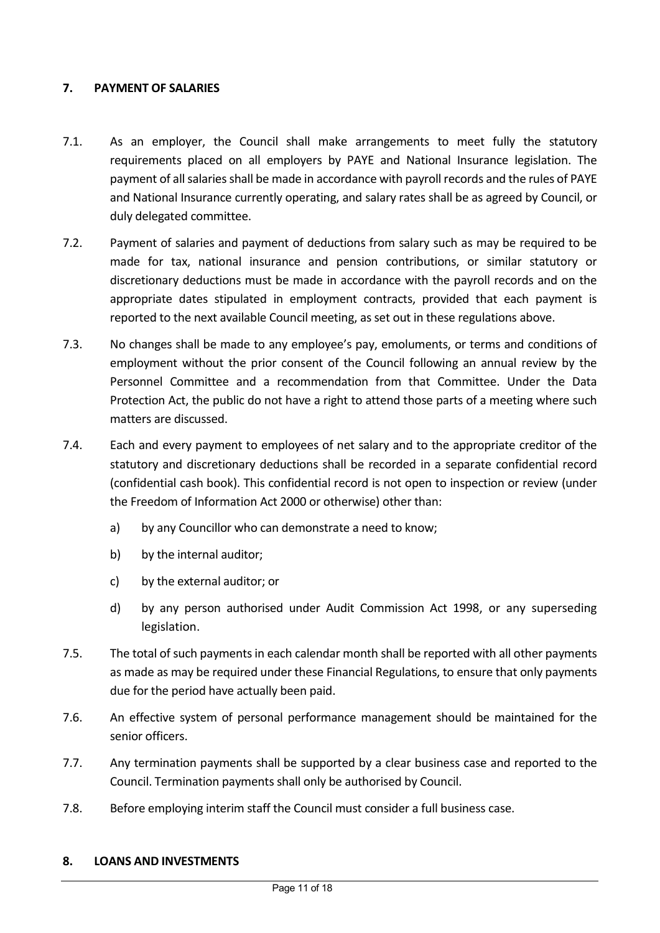### <span id="page-10-0"></span>**7. PAYMENT OF SALARIES**

- 7.1. As an employer, the Council shall make arrangements to meet fully the statutory requirements placed on all employers by PAYE and National Insurance legislation. The payment of all salaries shall be made in accordance with payroll records and the rules of PAYE and National Insurance currently operating, and salary rates shall be as agreed by Council, or duly delegated committee.
- 7.2. Payment of salaries and payment of deductions from salary such as may be required to be made for tax, national insurance and pension contributions, or similar statutory or discretionary deductions must be made in accordance with the payroll records and on the appropriate dates stipulated in employment contracts, provided that each payment is reported to the next available Council meeting, as set out in these regulations above.
- 7.3. No changes shall be made to any employee's pay, emoluments, or terms and conditions of employment without the prior consent of the Council following an annual review by the Personnel Committee and a recommendation from that Committee. Under the Data Protection Act, the public do not have a right to attend those parts of a meeting where such matters are discussed.
- 7.4. Each and every payment to employees of net salary and to the appropriate creditor of the statutory and discretionary deductions shall be recorded in a separate confidential record (confidential cash book). This confidential record is not open to inspection or review (under the Freedom of Information Act 2000 or otherwise) other than:
	- a) by any Councillor who can demonstrate a need to know;
	- b) by the internal auditor;
	- c) by the external auditor; or
	- d) by any person authorised under Audit Commission Act 1998, or any superseding legislation.
- 7.5. The total of such payments in each calendar month shall be reported with all other payments as made as may be required under these Financial Regulations, to ensure that only payments due for the period have actually been paid.
- 7.6. An effective system of personal performance management should be maintained for the senior officers.
- 7.7. Any termination payments shall be supported by a clear business case and reported to the Council. Termination payments shall only be authorised by Council.
- 7.8. Before employing interim staff the Council must consider a full business case.

#### <span id="page-10-1"></span>**8. LOANS AND INVESTMENTS**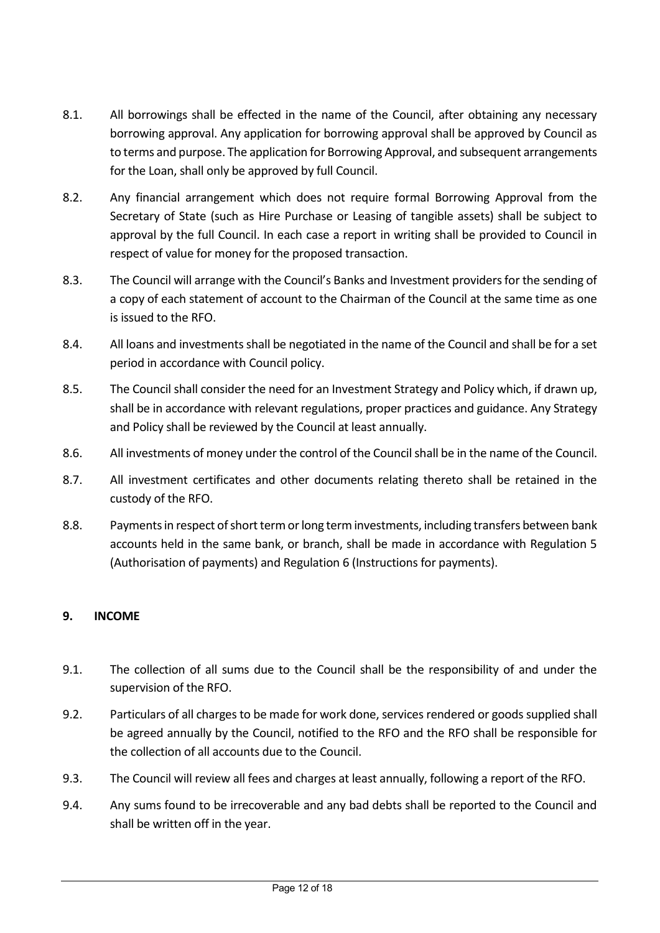- 8.1. All borrowings shall be effected in the name of the Council, after obtaining any necessary borrowing approval. Any application for borrowing approval shall be approved by Council as to terms and purpose. The application for Borrowing Approval, and subsequent arrangements for the Loan, shall only be approved by full Council.
- 8.2. Any financial arrangement which does not require formal Borrowing Approval from the Secretary of State (such as Hire Purchase or Leasing of tangible assets) shall be subject to approval by the full Council. In each case a report in writing shall be provided to Council in respect of value for money for the proposed transaction.
- 8.3. The Council will arrange with the Council's Banks and Investment providers for the sending of a copy of each statement of account to the Chairman of the Council at the same time as one is issued to the RFO.
- 8.4. All loans and investments shall be negotiated in the name of the Council and shall be for a set period in accordance with Council policy.
- 8.5. The Council shall consider the need for an Investment Strategy and Policy which, if drawn up, shall be in accordance with relevant regulations, proper practices and guidance. Any Strategy and Policy shall be reviewed by the Council at least annually.
- 8.6. All investments of money under the control of the Council shall be in the name of the Council.
- 8.7. All investment certificates and other documents relating thereto shall be retained in the custody of the RFO.
- 8.8. Payments in respect of short term or long term investments, including transfers between bank accounts held in the same bank, or branch, shall be made in accordance with Regulation 5 (Authorisation of payments) and Regulation 6 (Instructions for payments).

### <span id="page-11-0"></span>**9. INCOME**

- 9.1. The collection of all sums due to the Council shall be the responsibility of and under the supervision of the RFO.
- 9.2. Particulars of all charges to be made for work done, services rendered or goods supplied shall be agreed annually by the Council, notified to the RFO and the RFO shall be responsible for the collection of all accounts due to the Council.
- 9.3. The Council will review all fees and charges at least annually, following a report of the RFO.
- 9.4. Any sums found to be irrecoverable and any bad debts shall be reported to the Council and shall be written off in the year.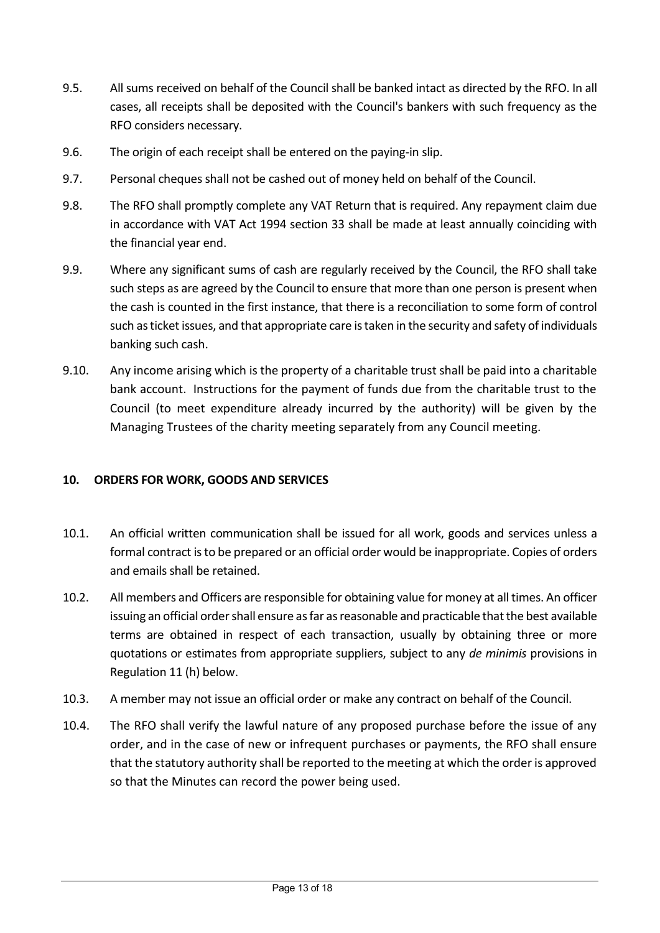- 9.5. All sums received on behalf of the Council shall be banked intact as directed by the RFO. In all cases, all receipts shall be deposited with the Council's bankers with such frequency as the RFO considers necessary.
- 9.6. The origin of each receipt shall be entered on the paying-in slip.
- 9.7. Personal cheques shall not be cashed out of money held on behalf of the Council.
- 9.8. The RFO shall promptly complete any VAT Return that is required. Any repayment claim due in accordance with VAT Act 1994 section 33 shall be made at least annually coinciding with the financial year end.
- 9.9. Where any significant sums of cash are regularly received by the Council, the RFO shall take such steps as are agreed by the Council to ensure that more than one person is present when the cash is counted in the first instance, that there is a reconciliation to some form of control such as ticket issues, and that appropriate care is taken in the security and safety of individuals banking such cash.
- 9.10. Any income arising which is the property of a charitable trust shall be paid into a charitable bank account. Instructions for the payment of funds due from the charitable trust to the Council (to meet expenditure already incurred by the authority) will be given by the Managing Trustees of the charity meeting separately from any Council meeting.

### <span id="page-12-0"></span>**10. ORDERS FOR WORK, GOODS AND SERVICES**

- 10.1. An official written communication shall be issued for all work, goods and services unless a formal contract is to be prepared or an official order would be inappropriate. Copies of orders and emails shall be retained.
- 10.2. All members and Officers are responsible for obtaining value for money at all times. An officer issuing an official order shall ensure as far as reasonable and practicable that the best available terms are obtained in respect of each transaction, usually by obtaining three or more quotations or estimates from appropriate suppliers, subject to any *de minimis* provisions in Regulation 11 (h) below.
- 10.3. A member may not issue an official order or make any contract on behalf of the Council.
- 10.4. The RFO shall verify the lawful nature of any proposed purchase before the issue of any order, and in the case of new or infrequent purchases or payments, the RFO shall ensure that the statutory authority shall be reported to the meeting at which the order is approved so that the Minutes can record the power being used.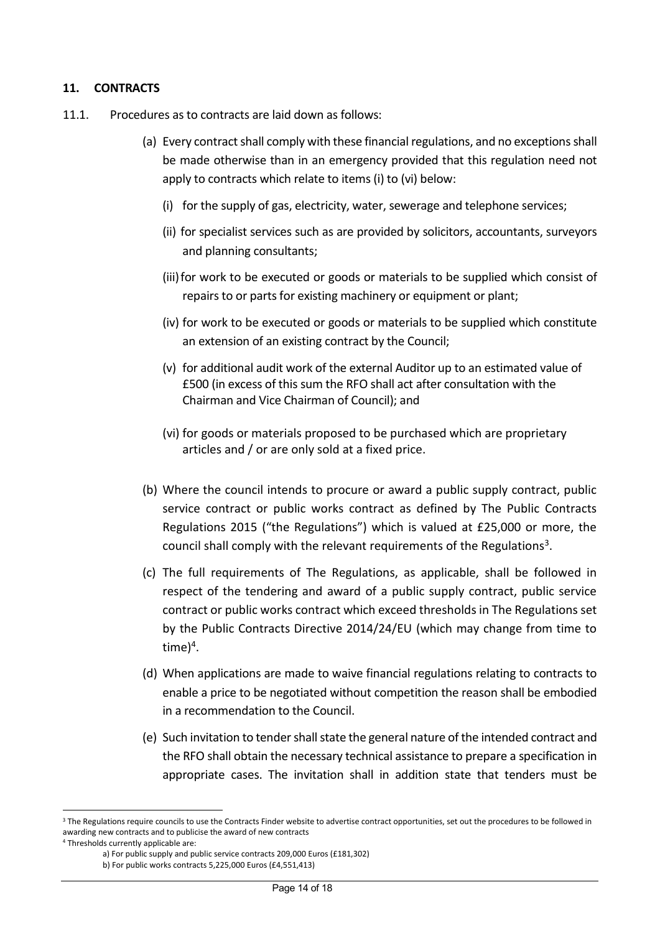#### <span id="page-13-0"></span>**11. CONTRACTS**

- 11.1. Procedures as to contracts are laid down as follows:
	- (a) Every contract shall comply with these financial regulations, and no exceptions shall be made otherwise than in an emergency provided that this regulation need not apply to contracts which relate to items (i) to (vi) below:
		- (i) for the supply of gas, electricity, water, sewerage and telephone services;
		- (ii) for specialist services such as are provided by solicitors, accountants, surveyors and planning consultants;
		- (iii)for work to be executed or goods or materials to be supplied which consist of repairs to or parts for existing machinery or equipment or plant;
		- (iv) for work to be executed or goods or materials to be supplied which constitute an extension of an existing contract by the Council;
		- (v) for additional audit work of the external Auditor up to an estimated value of £500 (in excess of this sum the RFO shall act after consultation with the Chairman and Vice Chairman of Council); and
		- (vi) for goods or materials proposed to be purchased which are proprietary articles and / or are only sold at a fixed price.
	- (b) Where the council intends to procure or award a public supply contract, public service contract or public works contract as defined by The Public Contracts Regulations 2015 ("the Regulations") which is valued at £25,000 or more, the council shall comply with the relevant requirements of the Regulations<sup>3</sup>.
	- (c) The full requirements of The Regulations, as applicable, shall be followed in respect of the tendering and award of a public supply contract, public service contract or public works contract which exceed thresholds in The Regulations set by the Public Contracts Directive 2014/24/EU (which may change from time to time)<sup>4</sup>.
	- (d) When applications are made to waive financial regulations relating to contracts to enable a price to be negotiated without competition the reason shall be embodied in a recommendation to the Council.
	- (e) Such invitation to tender shall state the general nature of the intended contract and the RFO shall obtain the necessary technical assistance to prepare a specification in appropriate cases. The invitation shall in addition state that tenders must be

<sup>&</sup>lt;sup>3</sup> The Regulations require councils to use the Contracts Finder website to advertise contract opportunities, set out the procedures to be followed in awarding new contracts and to publicise the award of new contracts

<sup>4</sup> Thresholds currently applicable are:

a) For public supply and public service contracts 209,000 Euros (£181,302)

b) For public works contracts 5,225,000 Euros (£4,551,413)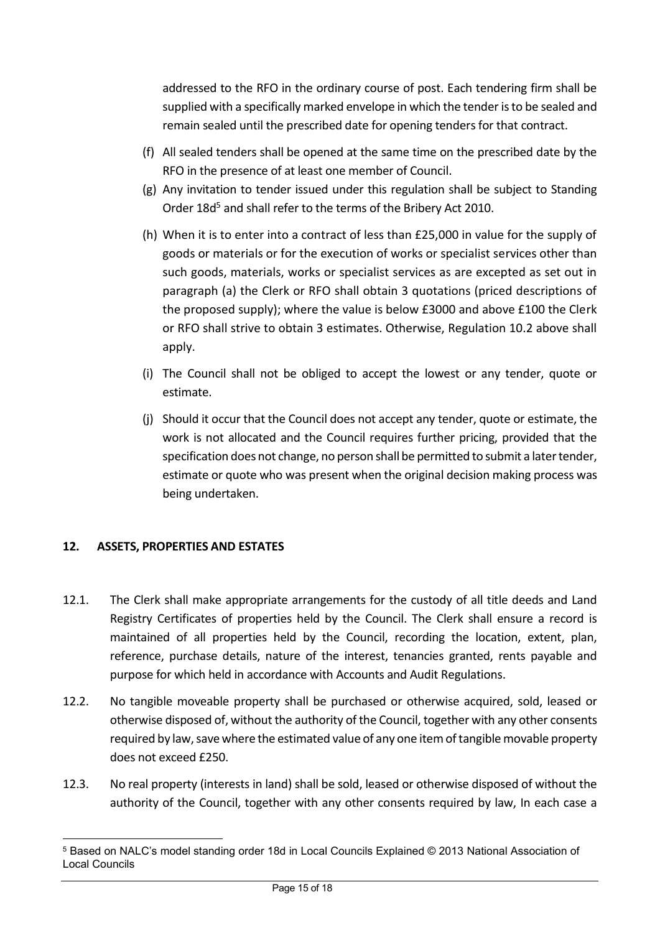addressed to the RFO in the ordinary course of post. Each tendering firm shall be supplied with a specifically marked envelope in which the tender is to be sealed and remain sealed until the prescribed date for opening tenders for that contract.

- (f) All sealed tenders shall be opened at the same time on the prescribed date by the RFO in the presence of at least one member of Council.
- (g) Any invitation to tender issued under this regulation shall be subject to Standing Order 18d<sup>5</sup> and shall refer to the terms of the Bribery Act 2010.
- (h) When it is to enter into a contract of less than £25,000 in value for the supply of goods or materials or for the execution of works or specialist services other than such goods, materials, works or specialist services as are excepted as set out in paragraph (a) the Clerk or RFO shall obtain 3 quotations (priced descriptions of the proposed supply); where the value is below £3000 and above £100 the Clerk or RFO shall strive to obtain 3 estimates. Otherwise, Regulation 10.2 above shall apply.
- (i) The Council shall not be obliged to accept the lowest or any tender, quote or estimate.
- (j) Should it occur that the Council does not accept any tender, quote or estimate, the work is not allocated and the Council requires further pricing, provided that the specification does not change, no person shall be permitted to submit a later tender, estimate or quote who was present when the original decision making process was being undertaken.

# <span id="page-14-0"></span>**12. ASSETS, PROPERTIES AND ESTATES**

- 12.1. The Clerk shall make appropriate arrangements for the custody of all title deeds and Land Registry Certificates of properties held by the Council. The Clerk shall ensure a record is maintained of all properties held by the Council, recording the location, extent, plan, reference, purchase details, nature of the interest, tenancies granted, rents payable and purpose for which held in accordance with Accounts and Audit Regulations.
- 12.2. No tangible moveable property shall be purchased or otherwise acquired, sold, leased or otherwise disposed of, without the authority of the Council, together with any other consents required by law, save where the estimated value of any one item of tangible movable property does not exceed £250.
- 12.3. No real property (interests in land) shall be sold, leased or otherwise disposed of without the authority of the Council, together with any other consents required by law, In each case a

<sup>5</sup> Based on NALC's model standing order 18d in Local Councils Explained © 2013 National Association of Local Councils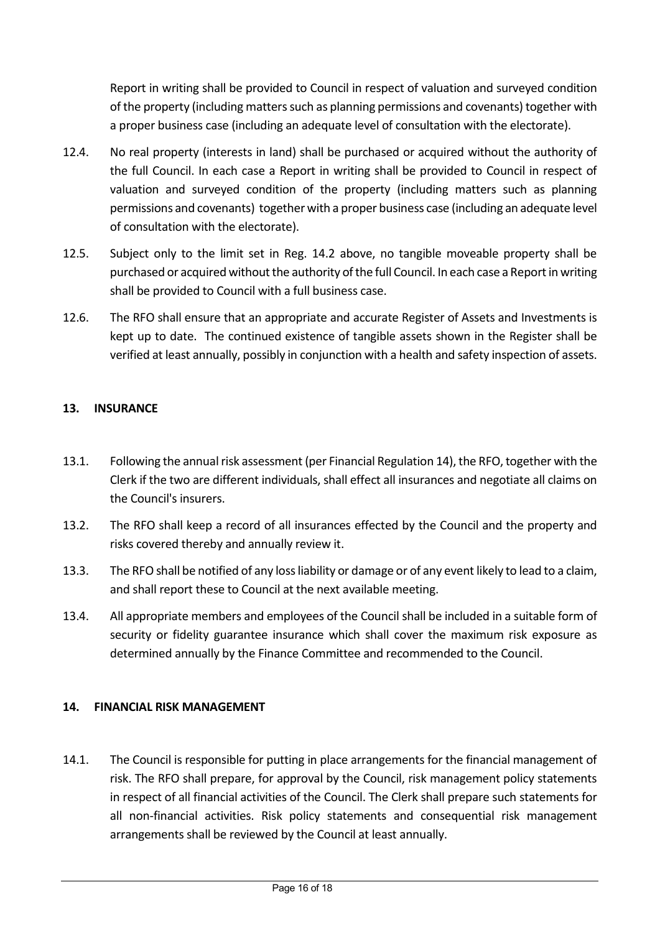Report in writing shall be provided to Council in respect of valuation and surveyed condition of the property (including matters such as planning permissions and covenants) together with a proper business case (including an adequate level of consultation with the electorate).

- 12.4. No real property (interests in land) shall be purchased or acquired without the authority of the full Council. In each case a Report in writing shall be provided to Council in respect of valuation and surveyed condition of the property (including matters such as planning permissions and covenants) together with a proper business case (including an adequate level of consultation with the electorate).
- 12.5. Subject only to the limit set in Reg. 14.2 above, no tangible moveable property shall be purchased or acquired without the authority of the full Council. In each case a Report in writing shall be provided to Council with a full business case.
- 12.6. The RFO shall ensure that an appropriate and accurate Register of Assets and Investments is kept up to date. The continued existence of tangible assets shown in the Register shall be verified at least annually, possibly in conjunction with a health and safety inspection of assets.

## <span id="page-15-0"></span>**13. INSURANCE**

- 13.1. Following the annual risk assessment (per Financial Regulation 14), the RFO, together with the Clerk if the two are different individuals, shall effect all insurances and negotiate all claims on the Council's insurers.
- 13.2. The RFO shall keep a record of all insurances effected by the Council and the property and risks covered thereby and annually review it.
- 13.3. The RFO shall be notified of any loss liability or damage or of any event likely to lead to a claim, and shall report these to Council at the next available meeting.
- 13.4. All appropriate members and employees of the Council shall be included in a suitable form of security or fidelity guarantee insurance which shall cover the maximum risk exposure as determined annually by the Finance Committee and recommended to the Council.

### <span id="page-15-1"></span>**14. FINANCIAL RISK MANAGEMENT**

14.1. The Council is responsible for putting in place arrangements for the financial management of risk. The RFO shall prepare, for approval by the Council, risk management policy statements in respect of all financial activities of the Council. The Clerk shall prepare such statements for all non-financial activities. Risk policy statements and consequential risk management arrangements shall be reviewed by the Council at least annually.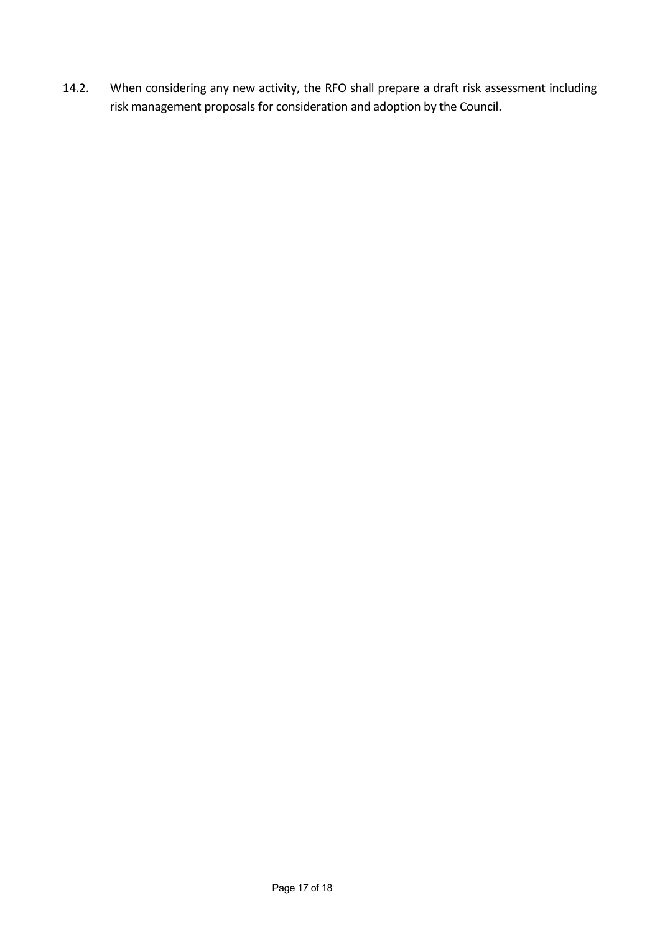14.2. When considering any new activity, the RFO shall prepare a draft risk assessment including risk management proposals for consideration and adoption by the Council.